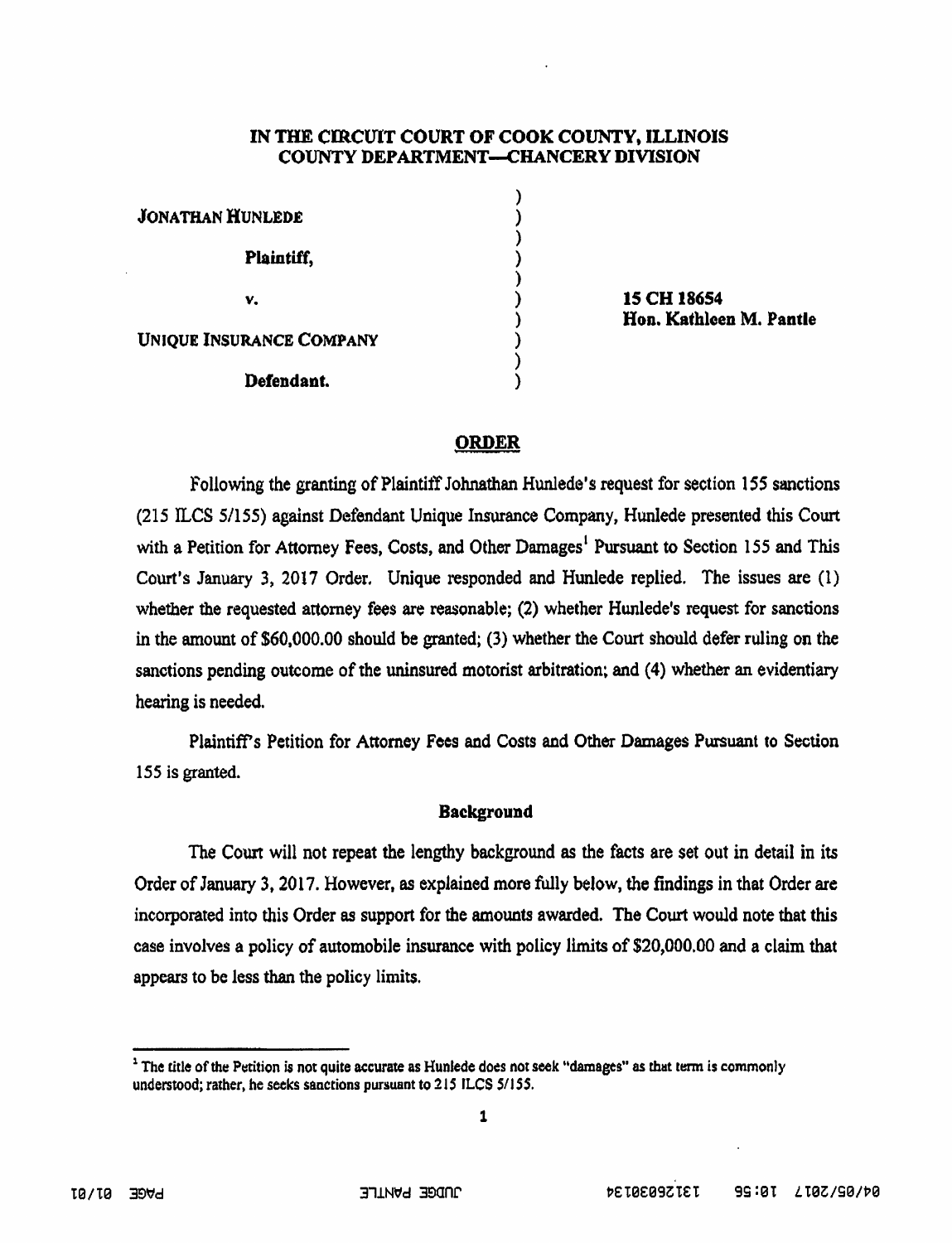### IN THE CIRCUIT COURT OF COOK COUNTY, ILLINOIS COUNTY DEPARTMENT—CHANCERY DIVISION

| <b>JONATHAN HUNLEDE</b>         |  |
|---------------------------------|--|
| Plaintiff,                      |  |
| v.                              |  |
| <b>UNIQUE INSURANCE COMPANY</b> |  |
| Defendant.                      |  |

15 CH 18654 Hon. Kathleen M. Pantle

### ORDER

Following the granting of Plaintiff Johnathan Hunlede's request for section 155 sanctions (215 ILCS 5/155) against Defendant Unique Insurance Company, Hunlede presented this Court with a Petition for Attorney Fees, Costs, and Other Damages<sup>1</sup> Pursuant to Section 155 and This Court's January 3, 2017 Order. Unique responded and Hunlede replied. The issues are (1) whether the requested attorney fees are reasonable; (2) whether Hunlcde's request for sanctions in the amount of \$60,000.00 should be granted; (3) whether the Court should defer ruling on the sanctions pending outcome of the uninsured motorist arbitration; and (4) whether an evidentiary hearing is needed.

Plaintiffs Petition for Attorney Fees and Costs and Other Damages Pursuant to Section 155 is granted.

#### Background

The Court will not repeat the lengthy background as the facts are set out in detail in its Order of January 3,2017. However, as explained more fully below, the findings in that Order are incorporated into this Order as support for the amounts awarded. The Court would note that this case involves a policy of automobile insurance with policy limits of \$20,000.00 and a claim that appears to be less than the policy limits.

<sup>&</sup>lt;sup>1</sup> The title of the Petition is not quite accurate as Hunlede does not seek "damages" as that term is commonly understood; rather, he seeks sanctions pursuant to 215 ILCS 5/155.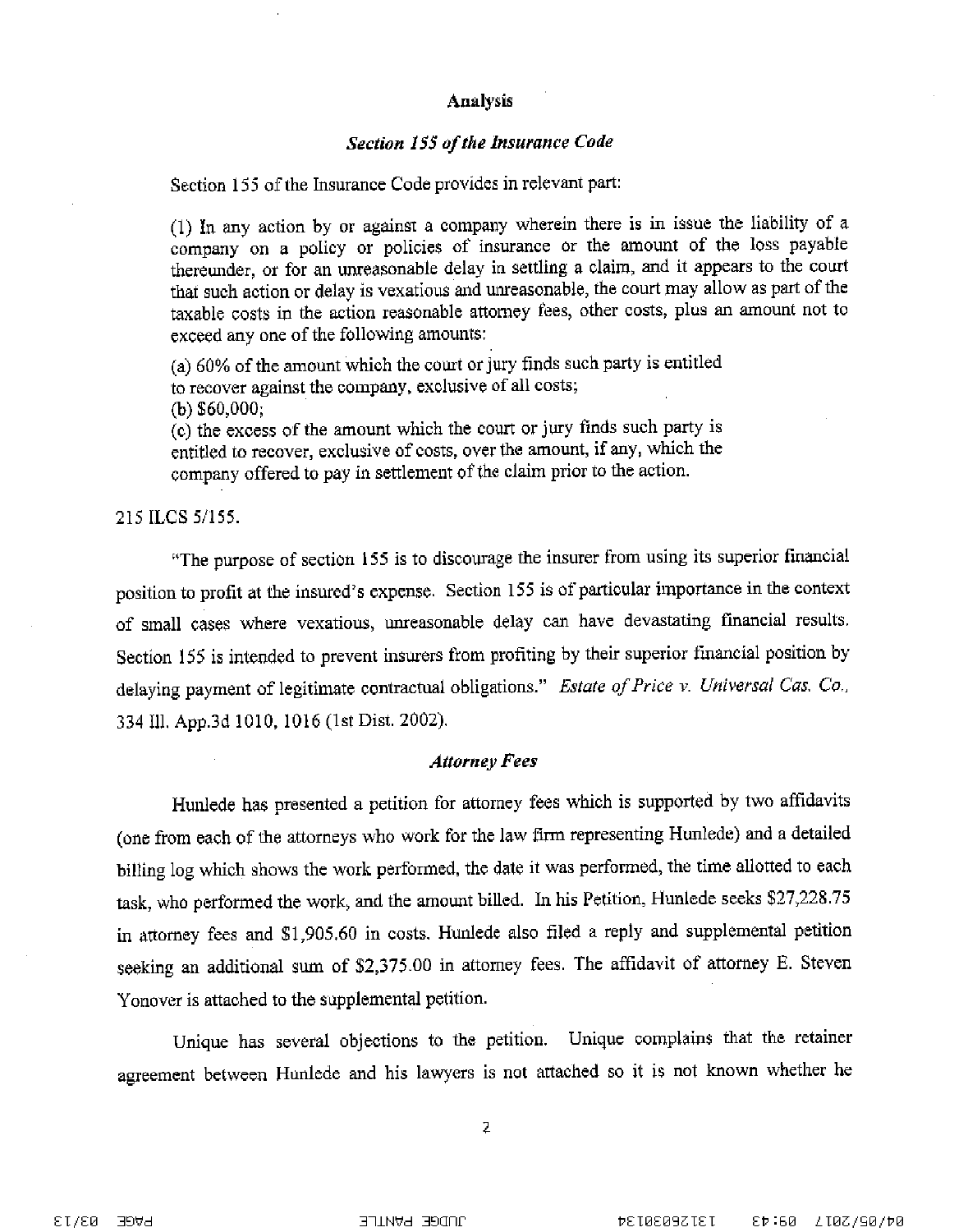### **Analysis**

## **Section 155 of the Insurance Code**

Section 155 of the Insurance Code provides in relevant part:

(1) In any action by or against a company wherein there is in issue the liability of a company on a policy or policies of insurance or the amount of the loss payable thereunder, or for an unreasonable delay in settling a claim, and it appears to the court that such action or delay is vexatious and unreasonable, the court may allow as part of the taxable costs in the action reasonable attorney fees, other costs, plus an amount not to exceed any one of the following amounts:

(a) 60% of the amount which the court or jury finds such party is entitled to recover against the company, exclusive of all costs;  $(b)$  \$60,000;

(c) the excess of the amount which the court or jury finds such party is entitled to recover, exclusive of costs, over the amount, if any, which the company offered to pay in settlement of the claim prior to the action.

215 ILCS 5/155.

"The purpose of section 155 is to discourage the insurer from using its superior financial position to profit at the insured's expense. Section 155 is of particular importance in the context of small cases where vexatious, unreasonable delay can have devastating financial results. Section 155 is intended to prevent insurers from profiting by their superior financial position by delaying payment of legitimate contractual obligations." Estate of Price v. Universal Cas. Co., 334 Ill. App.3d 1010, 1016 (1st Dist. 2002).

#### **Attorney Fees**

Hunlede has presented a petition for attorney fees which is supported by two affidavits (one from each of the attorneys who work for the law firm representing Hunlede) and a detailed billing log which shows the work performed, the date it was performed, the time allotted to each task, who performed the work, and the amount billed. In his Petition, Hunlede seeks \$27,228.75 in attorney fees and \$1,905.60 in costs. Hunlede also filed a reply and supplemental petition seeking an additional sum of \$2,375.00 in attorney fees. The affidavit of attorney E. Steven Yonover is attached to the supplemental petition.

Unique has several objections to the petition. Unique complains that the retainer agreement between Hunlede and his lawyers is not attached so it is not known whether he

 $\overline{2}$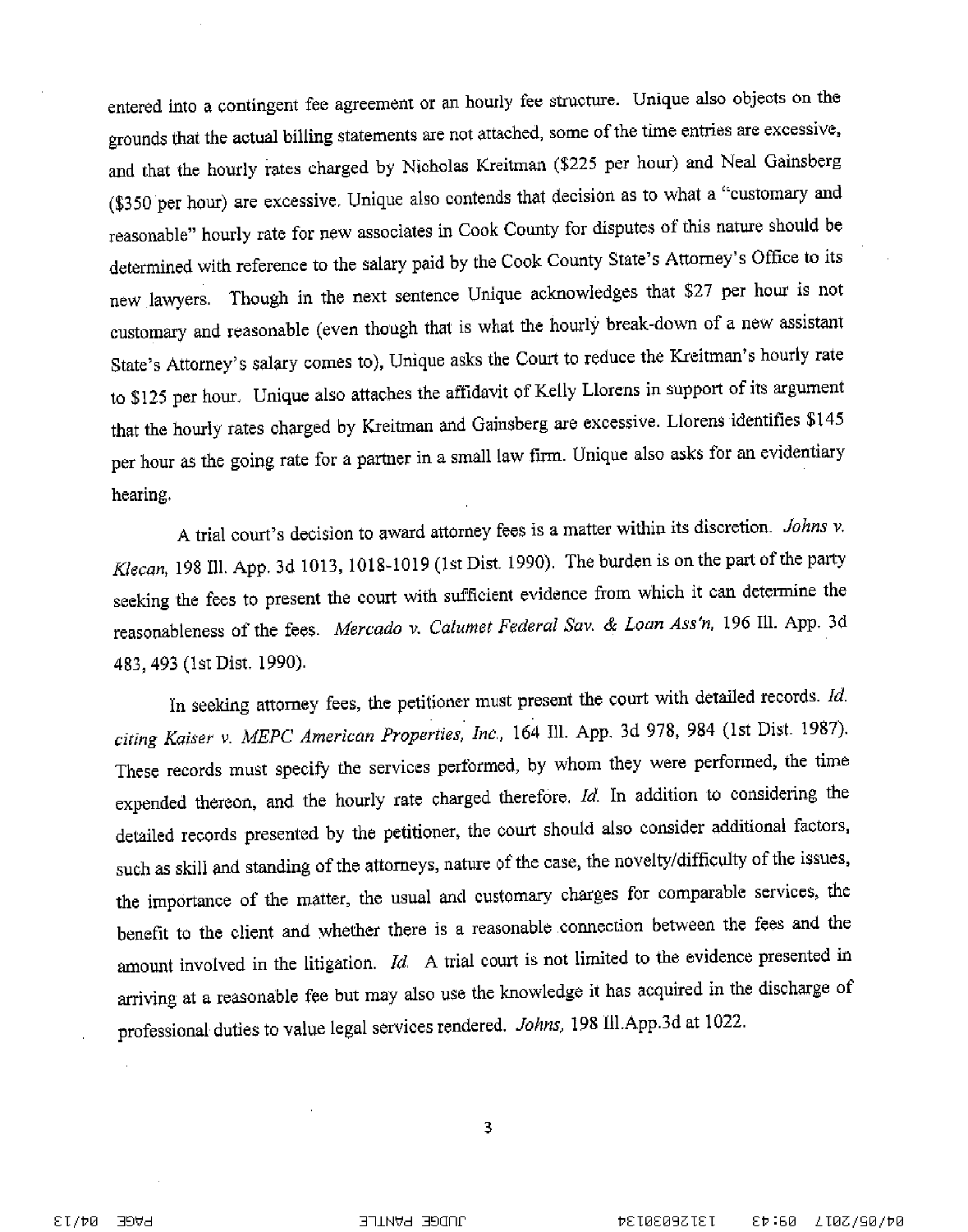entered into a contingent fee agreement or an hourly fee structure. Unique also objects on the grounds that the actual billing statements are not attached, some of the time entries are excessive, and that the hourly rates charged by Nicholas Kreitman (\$225 per hour) and Neal Gainsberg (\$350 per hour) are excessive. Unique also contends that decision as to what a "customary and reasonable" hourly rate for new associates in Cook County for disputes of this nature should be determined with reference to the salary paid by the Cook County State's Attorney's Office to its new lawyers. Though in the next sentence Unique acknowledges that \$27 per hour is not customary and reasonable (even though that is what the hourly break-down of a new assistant State's Attorney's salary comes to), Unique asks the Court to reduce the Kreitman's hourly rate to \$125 per hour. Unique also attaches the affidavit of Kelly Llorens in support of its argument that the hourly rates charged by Kreitman and Gainsberg are excessive. Llorens identifies \$145 per hour as the going rate for a partner in a small law firm. Unique also asks for an evidentiary hearing.

A trial court's decision to award attorney fees is a matter within its discretion. Johns v. Klecan, 198 Ill. App. 3d 1013, 1018-1019 (1st Dist. 1990). The burden is on the part of the party seeking the fees to present the court with sufficient evidence from which it can determine the reasonableness of the fees. Mercado v. Calumet Federal Sav. & Loan Ass'n, 196 Ill. App. 3d 483, 493 (1st Dist. 1990).

In seeking attorney fees, the petitioner must present the court with detailed records. Id. citing Kaiser v. MEPC American Properties, Inc., 164 Ill. App. 3d 978, 984 (1st Dist. 1987). These records must specify the services performed, by whom they were performed, the time expended thereon, and the hourly rate charged therefore. Id. In addition to considering the detailed records presented by the petitioner, the court should also consider additional factors, such as skill and standing of the attorneys, nature of the case, the novelty/difficulty of the issues, the importance of the matter, the usual and customary charges for comparable services, the benefit to the client and whether there is a reasonable connection between the fees and the amount involved in the litigation.  $Id$ . A trial court is not limited to the evidence presented in arriving at a reasonable fee but may also use the knowledge it has acquired in the discharge of professional duties to value legal services rendered. Johns, 198 Ill.App.3d at 1022.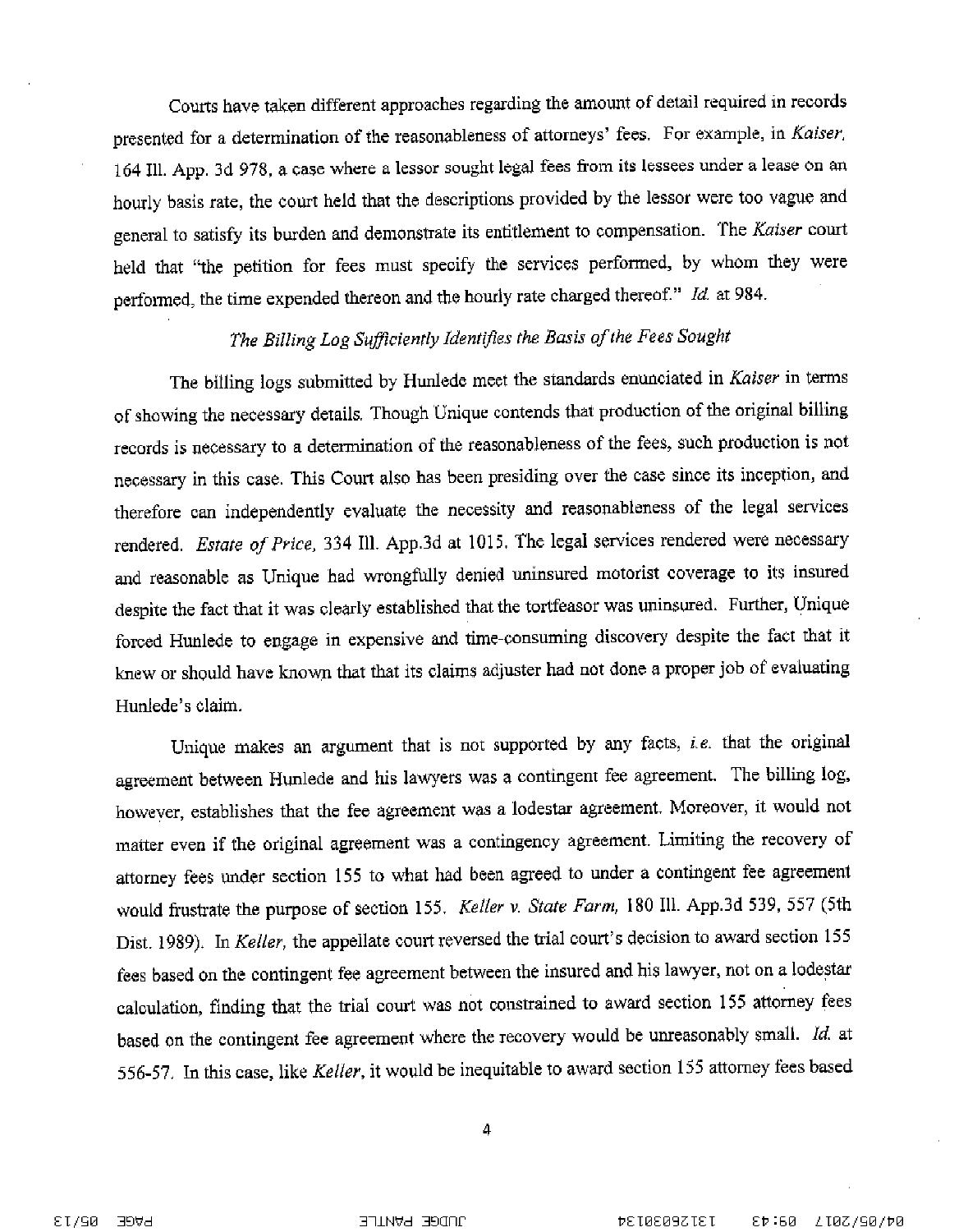Courts have taken different approaches regarding the amount of detail required in records presented for a determination of the reasonableness of attorneys' fees. For example, in Kaiser, 164 Ill. App. 3d 978, a case where a lessor sought legal fees from its lessees under a lease on an hourly basis rate, the court held that the descriptions provided by the lessor were too vague and general to satisfy its burden and demonstrate its entitlement to compensation. The Kaiser court held that "the petition for fees must specify the services performed, by whom they were performed, the time expended thereon and the hourly rate charged thereof." Id. at 984.

# The Billing Log Sufficiently Identifies the Basis of the Fees Sought

The billing logs submitted by Hunlede meet the standards enunciated in Kaiser in terms of showing the necessary details. Though Unique contends that production of the original billing records is necessary to a determination of the reasonableness of the fees, such production is not necessary in this case. This Court also has been presiding over the case since its inception, and therefore can independently evaluate the necessity and reasonableness of the legal services rendered. Estate of Price, 334 Ill. App.3d at 1015. The legal services rendered were necessary and reasonable as Unique had wrongfully denied uninsured motorist coverage to its insured despite the fact that it was clearly established that the tortfeasor was uninsured. Further, Unique forced Hunlede to engage in expensive and time-consuming discovery despite the fact that it knew or should have known that that its claims adjuster had not done a proper job of evaluating Hunlede's claim.

Unique makes an argument that is not supported by any facts, i.e. that the original agreement between Hunlede and his lawyers was a contingent fee agreement. The billing log, however, establishes that the fee agreement was a lodestar agreement. Moreover, it would not matter even if the original agreement was a contingency agreement. Limiting the recovery of attorney fees under section 155 to what had been agreed to under a contingent fee agreement would frustrate the purpose of section 155. Keller v. State Farm, 180 Ill. App.3d 539, 557 (5th Dist. 1989). In Keller, the appellate court reversed the trial court's decision to award section 155 fees based on the contingent fee agreement between the insured and his lawyer, not on a lodestar calculation, finding that the trial court was not constrained to award section 155 attorney fees based on the contingent fee agreement where the recovery would be unreasonably small. Id. at 556-57. In this case, like Keller, it would be inequitable to award section 155 attorney fees based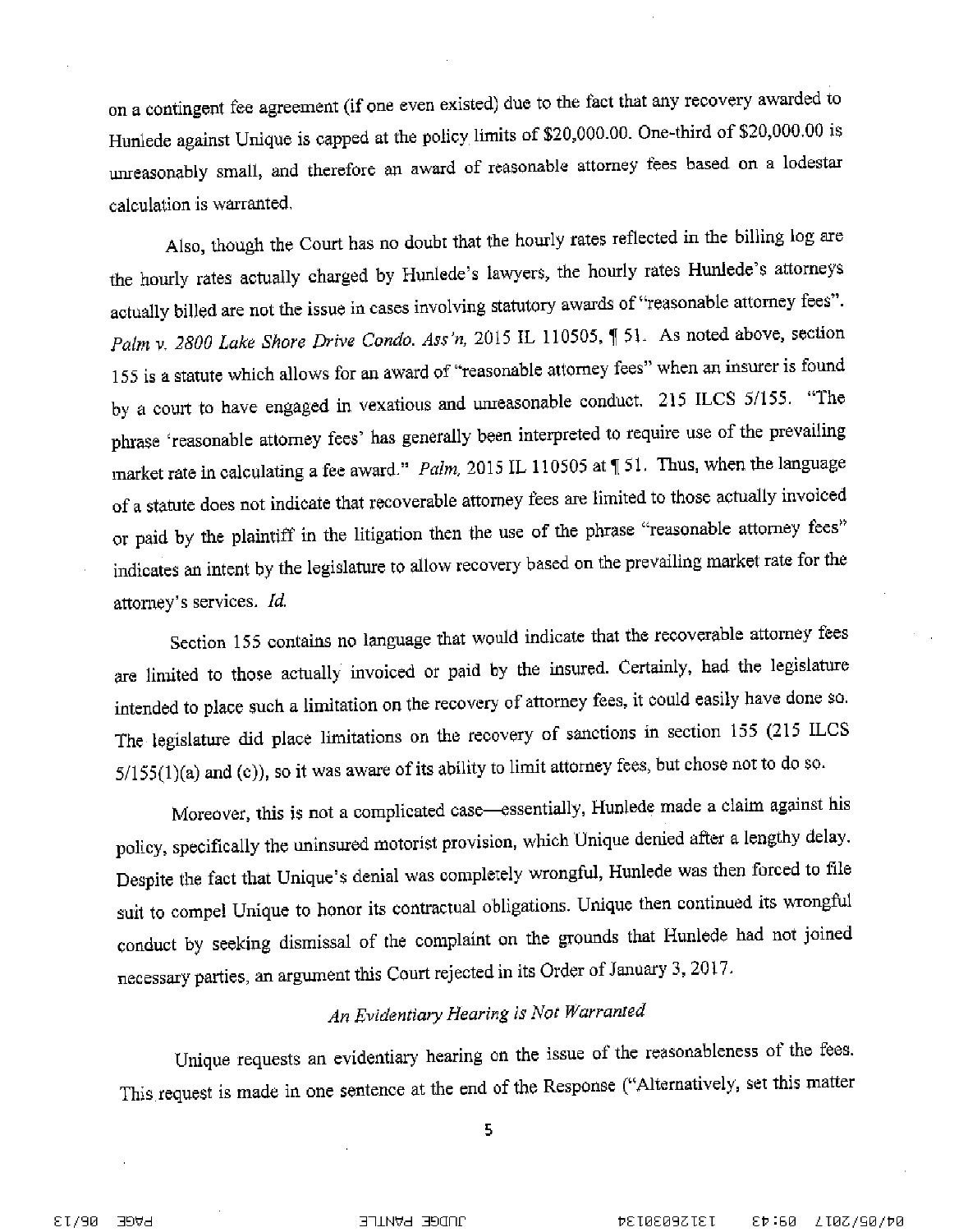on a contingent fee agreement (if one even existed) due to the fact that any recovery awarded to Hunlede against Unique is capped at the policy limits of \$20,000.00. One-third of \$20,000.00 is unreasonably small, and therefore an award of reasonable attorney fees based on a lodestar calculation is warranted.

Also, though the Court has no doubt that the hourly rates reflected in the billing log are the hourly rates actually charged by Hunlede's lawyers, the hourly rates Hunlede's attorneys actually billed are not the issue in cases involving statutory awards of "reasonable attorney fees". Palm v. 2800 Lake Shore Drive Condo. Ass'n, 2015 IL 110505, ¶ 51. As noted above, section 155 is a statute which allows for an award of "reasonable attorney fees" when an insurer is found by a court to have engaged in vexatious and unreasonable conduct. 215 ILCS 5/155. "The phrase 'reasonable attorney fees' has generally been interpreted to require use of the prevailing market rate in calculating a fee award." Palm, 2015 IL 110505 at [51. Thus, when the language of a statute does not indicate that recoverable attorney fees are limited to those actually invoiced or paid by the plaintiff in the litigation then the use of the phrase "reasonable attorney fees" indicates an intent by the legislature to allow recovery based on the prevailing market rate for the attorney's services. Id.

Section 155 contains no language that would indicate that the recoverable attorney fees are limited to those actually invoiced or paid by the insured. Certainly, had the legislature intended to place such a limitation on the recovery of attorney fees, it could easily have done so. The legislature did place limitations on the recovery of sanctions in section 155 (215 ILCS 5/155(1)(a) and (c)), so it was aware of its ability to limit attorney fees, but chose not to do so.

Moreover, this is not a complicated case—essentially, Hunlede made a claim against his policy, specifically the uninsured motorist provision, which Unique denied after a lengthy delay. Despite the fact that Unique's denial was completely wrongful, Hunlede was then forced to file suit to compel Unique to honor its contractual obligations. Unique then continued its wrongful conduct by seeking dismissal of the complaint on the grounds that Hunlede had not joined necessary parties, an argument this Court rejected in its Order of January 3, 2017.

## An Evidentiary Hearing is Not Warranted

Unique requests an evidentiary hearing on the issue of the reasonableness of the fees. This request is made in one sentence at the end of the Response ("Alternatively, set this matter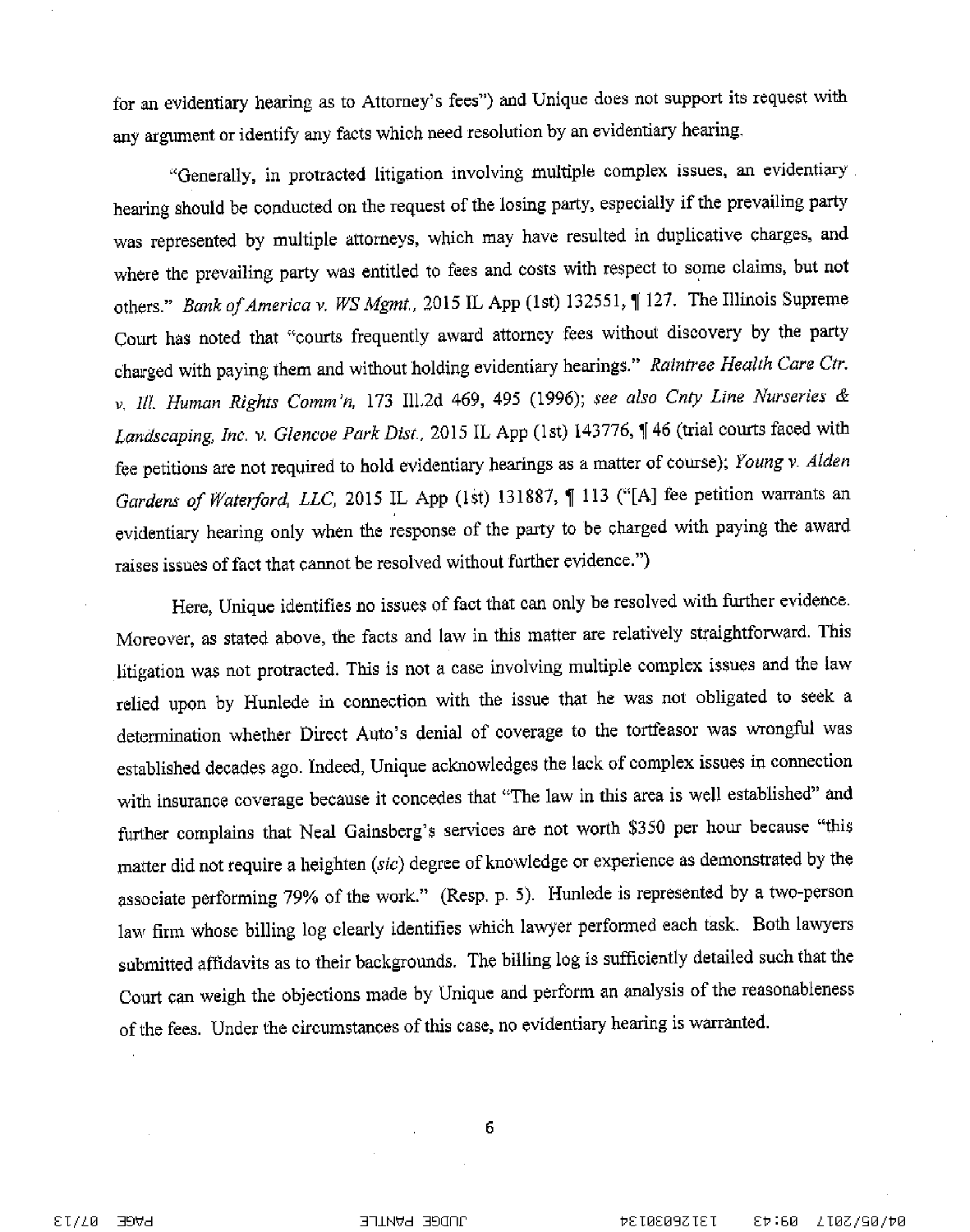for an evidentiary hearing as to Attorney's fees") and Unique does not support its request with any argument or identify any facts which need resolution by an evidentiary hearing.

"Generally, in protracted litigation involving multiple complex issues, an evidentiary hearing should be conducted on the request of the losing party, especially if the prevailing party was represented by multiple attorneys, which may have resulted in duplicative charges, and where the prevailing party was entitled to fees and costs with respect to some claims, but not others." Bank of America v. WS Mgmt., 2015 IL App (1st) 132551, 1 127. The Illinois Supreme Court has noted that "courts frequently award attorney fees without discovery by the party charged with paying them and without holding evidentiary hearings." Raintree Health Care Ctr. v. Ill. Human Rights Comm'n, 173 Ill.2d 469, 495 (1996); see also Cnty Line Nurseries & Landscaping, Inc. v. Glencoe Park Dist., 2015 IL App (1st) 143776, 1 46 (trial courts faced with fee petitions are not required to hold evidentiary hearings as a matter of course); Young v. Alden Gardens of Waterford, LLC, 2015 IL App (1st) 131887, [113 ("[A] fee petition warrants an evidentiary hearing only when the response of the party to be charged with paying the award raises issues of fact that cannot be resolved without further evidence.")

Here, Unique identifies no issues of fact that can only be resolved with further evidence. Moreover, as stated above, the facts and law in this matter are relatively straightforward. This litigation was not protracted. This is not a case involving multiple complex issues and the law relied upon by Hunlede in connection with the issue that he was not obligated to seek a determination whether Direct Auto's denial of coverage to the tortfeasor was wrongful was established decades ago. Indeed, Unique acknowledges the lack of complex issues in connection with insurance coverage because it concedes that "The law in this area is well established" and further complains that Neal Gainsberg's services are not worth \$350 per hour because "this matter did not require a heighten (sic) degree of knowledge or experience as demonstrated by the associate performing 79% of the work." (Resp. p. 5). Hunlede is represented by a two-person law firm whose billing log clearly identifies which lawyer performed each task. Both lawyers submitted affidavits as to their backgrounds. The billing log is sufficiently detailed such that the Court can weigh the objections made by Unique and perform an analysis of the reasonableness of the fees. Under the circumstances of this case, no evidentiary hearing is warranted.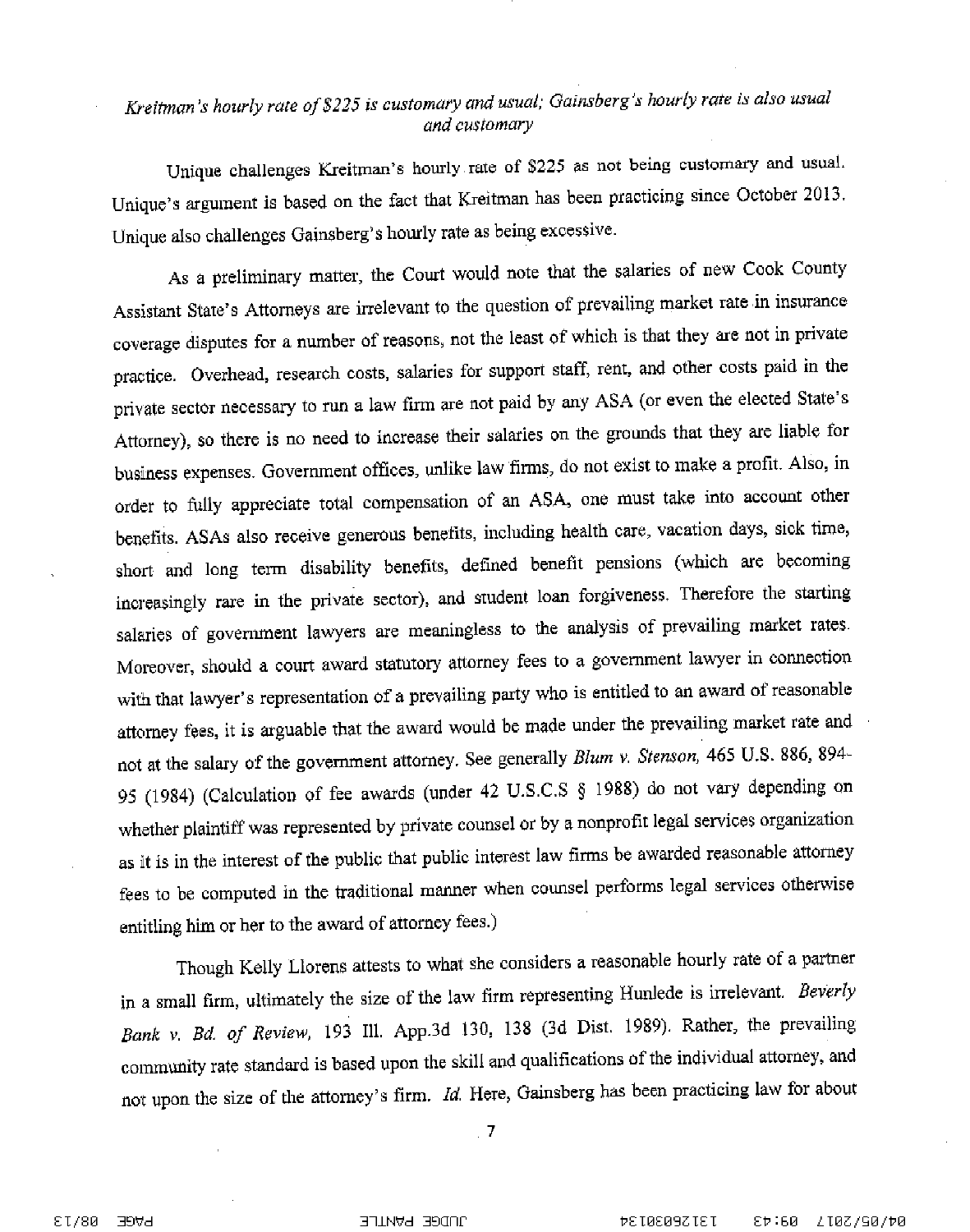# Kreitman's hourly rate of \$225 is customary and usual; Gainsberg's hourly rate is also usual and customary

Unique challenges Kreitman's hourly rate of \$225 as not being customary and usual. Unique's argument is based on the fact that Kreitman has been practicing since October 2013. Unique also challenges Gainsberg's hourly rate as being excessive.

As a preliminary matter, the Court would note that the salaries of new Cook County Assistant State's Attorneys are irrelevant to the question of prevailing market rate in insurance coverage disputes for a number of reasons, not the least of which is that they are not in private practice. Overhead, research costs, salaries for support staff, rent, and other costs paid in the private sector necessary to run a law firm are not paid by any ASA (or even the elected State's Attorney), so there is no need to increase their salaries on the grounds that they are liable for business expenses. Government offices, unlike law firms, do not exist to make a profit. Also, in order to fully appreciate total compensation of an ASA, one must take into account other benefits. ASAs also receive generous benefits, including health care, vacation days, sick time, short and long term disability benefits, defined benefit pensions (which are becoming increasingly rare in the private sector), and student loan forgiveness. Therefore the starting salaries of government lawyers are meaningless to the analysis of prevailing market rates. Moreover, should a court award statutory attorney fees to a government lawyer in connection with that lawyer's representation of a prevailing party who is entitled to an award of reasonable attorney fees, it is arguable that the award would be made under the prevailing market rate and not at the salary of the government attorney. See generally Blum v. Stenson, 465 U.S. 886, 894-95 (1984) (Calculation of fee awards (under 42 U.S.C.S § 1988) do not vary depending on whether plaintiff was represented by private counsel or by a nonprofit legal services organization as it is in the interest of the public that public interest law firms be awarded reasonable attorney fees to be computed in the traditional manner when counsel performs legal services otherwise entitling him or her to the award of attorney fees.)

Though Kelly Llorens attests to what she considers a reasonable hourly rate of a partner in a small firm, ultimately the size of the law firm representing Hunlede is irrelevant. Beverly Bank v. Bd. of Review, 193 Ill. App.3d 130, 138 (3d Dist. 1989). Rather, the prevailing community rate standard is based upon the skill and qualifications of the individual attorney, and not upon the size of the attorney's firm. Id. Here, Gainsberg has been practicing law for about

 $\overline{z}$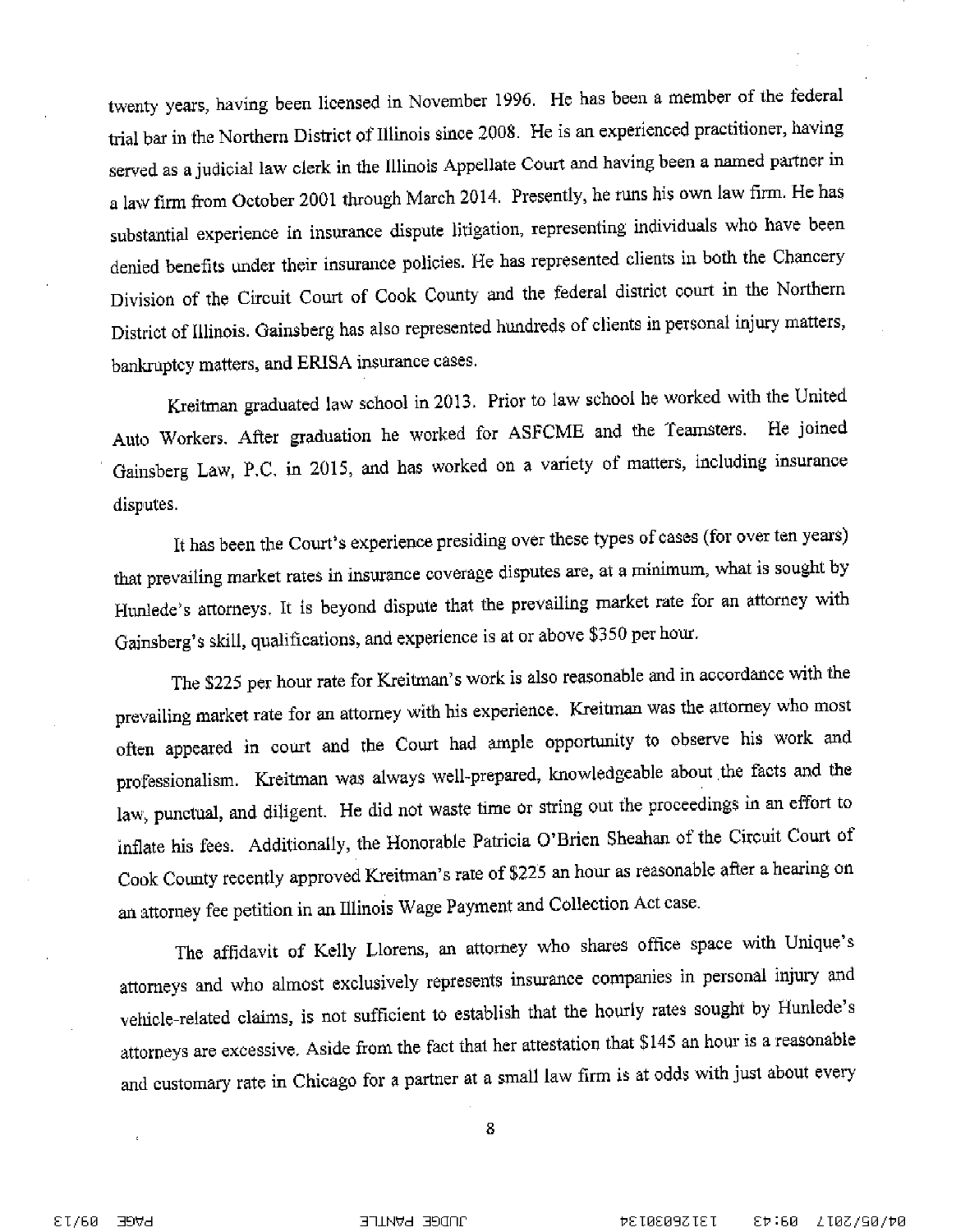twenty years, having been licensed in November 1996. He has been a member of the federal trial bar in the Northern District of Illinois since 2008. He is an experienced practitioner, having served as a judicial law clerk in the Illinois Appellate Court and having been a named partner in a law firm from October 2001 through March 2014. Presently, he runs his own law firm. He has substantial experience in insurance dispute litigation, representing individuals who have been denied benefits under their insurance policies. He has represented clients in both the Chancery Division of the Circuit Court of Cook County and the federal district court in the Northern District of Illinois. Gainsberg has also represented hundreds of clients in personal injury matters, bankruptcy matters, and ERISA insurance cases.

Kreitman graduated law school in 2013. Prior to law school he worked with the United Auto Workers. After graduation he worked for ASFCME and the Teamsters. He joined Gainsberg Law, P.C. in 2015, and has worked on a variety of matters, including insurance disputes.

It has been the Court's experience presiding over these types of cases (for over ten years) that prevailing market rates in insurance coverage disputes are, at a minimum, what is sought by Hunlede's attorneys. It is beyond dispute that the prevailing market rate for an attorney with Gainsberg's skill, qualifications, and experience is at or above \$350 per hour.

The \$225 per hour rate for Kreitman's work is also reasonable and in accordance with the prevailing market rate for an attorney with his experience. Kreitman was the attorney who most often appeared in court and the Court had ample opportunity to observe his work and professionalism. Kreitman was always well-prepared, knowledgeable about the facts and the law, punctual, and diligent. He did not waste time or string out the proceedings in an effort to inflate his fees. Additionally, the Honorable Patricia O'Brien Sheahan of the Circuit Court of Cook County recently approved Kreitman's rate of \$225 an hour as reasonable after a hearing on an attorney fee petition in an Illinois Wage Payment and Collection Act case.

The affidavit of Kelly Llorens, an attorney who shares office space with Unique's attorneys and who almost exclusively represents insurance companies in personal injury and vehicle-related claims, is not sufficient to establish that the hourly rates sought by Hunlede's attorneys are excessive. Aside from the fact that her attestation that \$145 an hour is a reasonable and customary rate in Chicago for a partner at a small law firm is at odds with just about every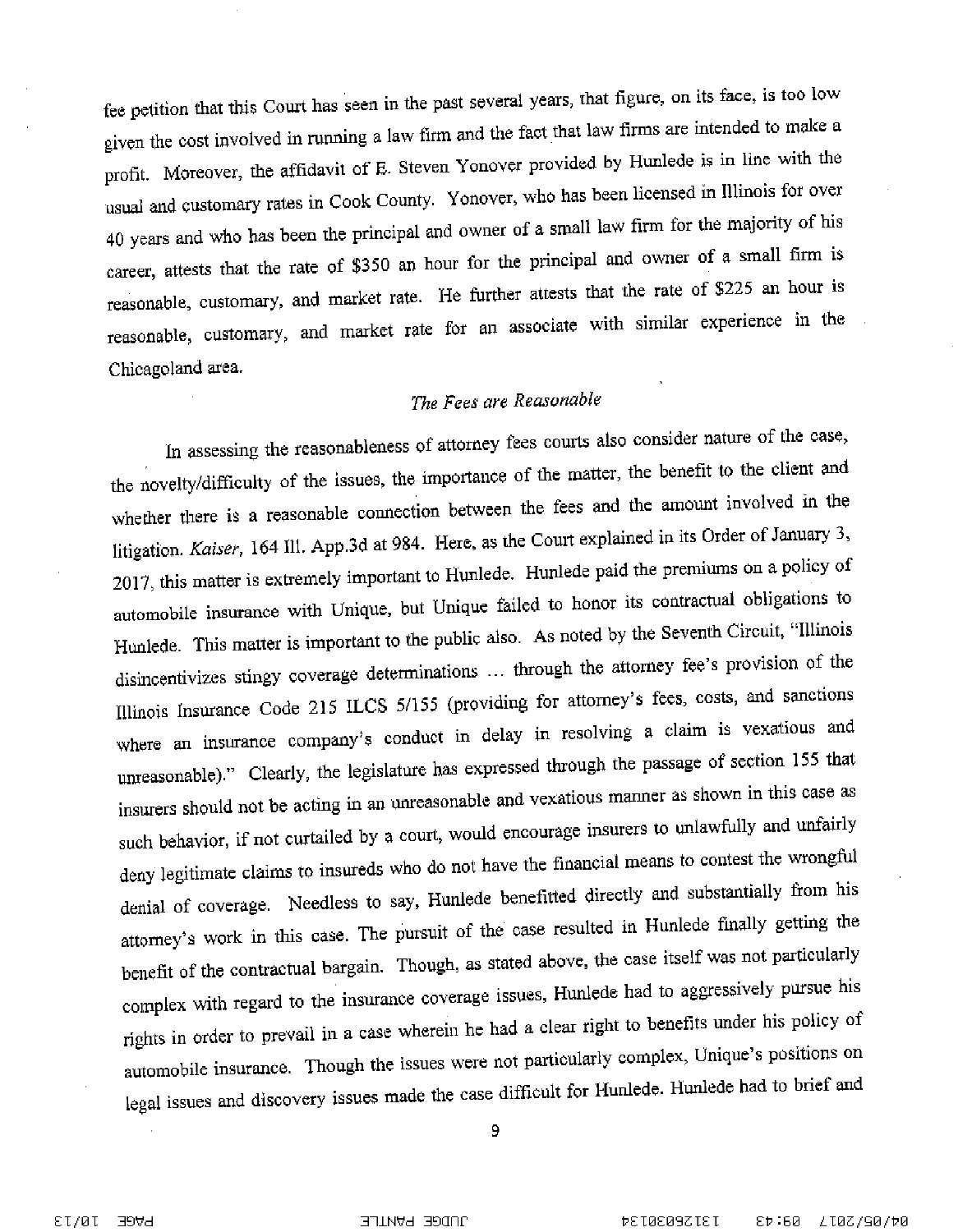fee petition that this Court has seen in the past several years, that figure, on its face, is too low given the cost involved in running a law firm and the fact that law firms are intended to make a profit. Moreover, the affidavit of E. Steven Yonover provided by Hunlede is in line with the usual and customary rates in Cook County. Yonover, who has been licensed in Illinois for over 40 years and who has been the principal and owner of a small law firm for the majority of his career, attests that the rate of \$350 an hour for the principal and owner of a small firm is reasonable, customary, and market rate. He further attests that the rate of \$225 an hour is reasonable, customary, and market rate for an associate with similar experience in the Chicagoland area.

## The Fees are Reasonable

In assessing the reasonableness of attorney fees courts also consider nature of the case, the novelty/difficulty of the issues, the importance of the matter, the benefit to the client and whether there is a reasonable connection between the fees and the amount involved in the litigation. Kaiser, 164 Ill. App.3d at 984. Here, as the Court explained in its Order of January 3, 2017, this matter is extremely important to Hunlede. Hunlede paid the premiums on a policy of automobile insurance with Unique, but Unique failed to honor its contractual obligations to Hunlede. This matter is important to the public also. As noted by the Seventh Circuit, "Illinois disincentivizes stingy coverage determinations ... through the attorney fee's provision of the Illinois Insurance Code 215 ILCS 5/155 (providing for attorney's fees, costs, and sanctions where an insurance company's conduct in delay in resolving a claim is vexatious and unreasonable)." Clearly, the legislature has expressed through the passage of section 155 that insurers should not be acting in an unreasonable and vexatious manner as shown in this case as such behavior, if not curtailed by a court, would encourage insurers to unlawfully and unfairly deny legitimate claims to insureds who do not have the financial means to contest the wrongful denial of coverage. Needless to say, Hunlede benefitted directly and substantially from his attorney's work in this case. The pursuit of the case resulted in Hunlede finally getting the benefit of the contractual bargain. Though, as stated above, the case itself was not particularly complex with regard to the insurance coverage issues, Hunlede had to aggressively pursue his rights in order to prevail in a case wherein he had a clear right to benefits under his policy of automobile insurance. Though the issues were not particularly complex, Unique's positions on legal issues and discovery issues made the case difficult for Hunlede. Hunlede had to brief and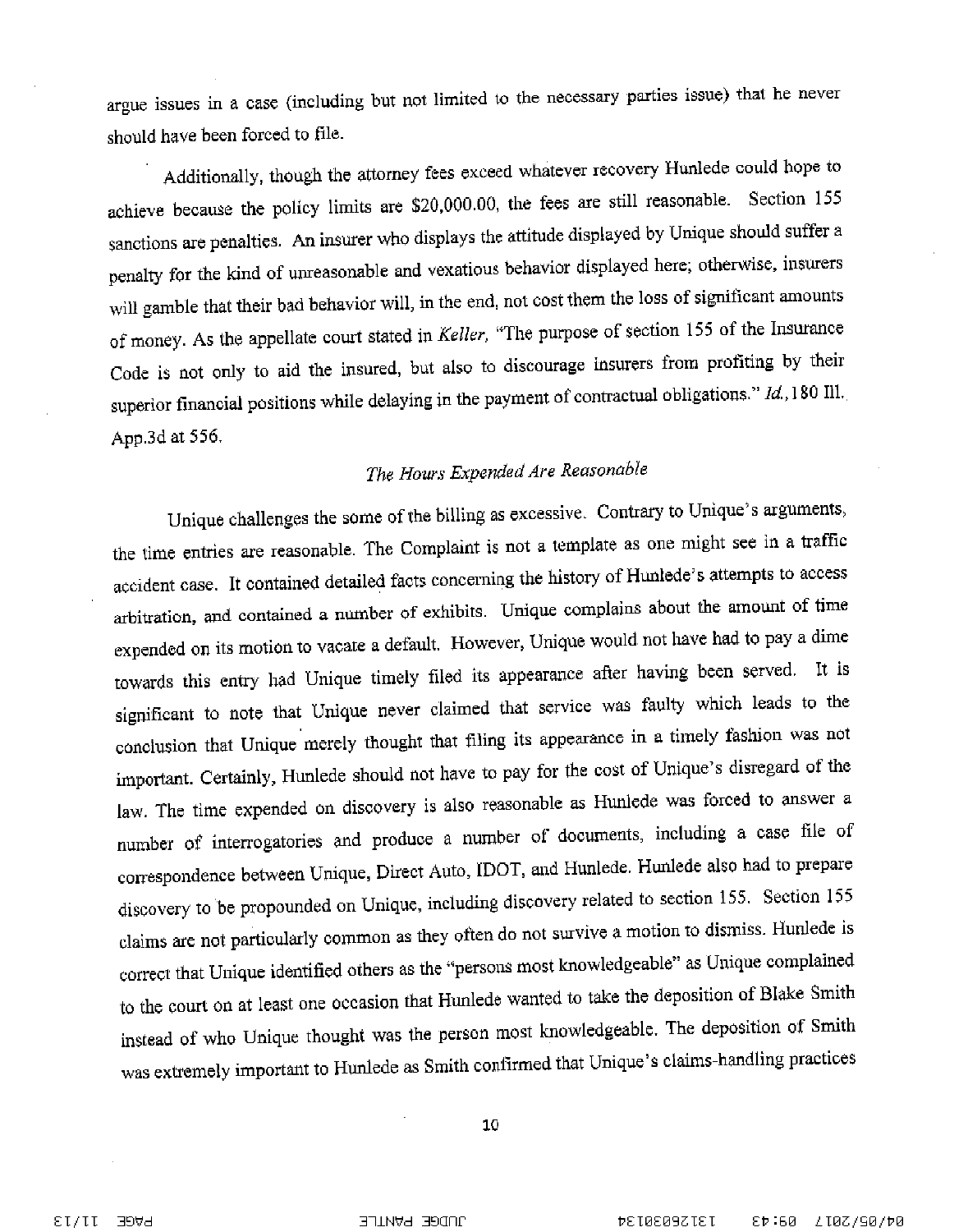argue issues in a case (including but not limited to the necessary parties issue) that he never should have been forced to file.

Additionally, though the attorney fees exceed whatever recovery Hunlede could hope to achieve because the policy limits are \$20,000.00, the fees are still reasonable. Section 155 sanctions are penalties. An insurer who displays the attitude displayed by Unique should suffer a penalty for the kind of unreasonable and vexatious behavior displayed here; otherwise, insurers will gamble that their bad behavior will, in the end, not cost them the loss of significant amounts of money. As the appellate court stated in Keller, "The purpose of section 155 of the Insurance Code is not only to aid the insured, but also to discourage insurers from profiting by their superior financial positions while delaying in the payment of contractual obligations."  $Id$ , 180 Ill. App.3d at 556.

# The Hours Expended Are Reasonable

Unique challenges the some of the billing as excessive. Contrary to Unique's arguments, the time entries are reasonable. The Complaint is not a template as one might see in a traffic accident case. It contained detailed facts concerning the history of Hunlede's attempts to access arbitration, and contained a number of exhibits. Unique complains about the amount of time expended on its motion to vacate a default. However, Unique would not have had to pay a dime towards this entry had Unique timely filed its appearance after having been served. It is significant to note that Unique never claimed that service was faulty which leads to the conclusion that Unique merely thought that filing its appearance in a timely fashion was not important. Certainly, Hunlede should not have to pay for the cost of Unique's disregard of the law. The time expended on discovery is also reasonable as Hunlede was forced to answer a number of interrogatories and produce a number of documents, including a case file of correspondence between Unique, Direct Auto, IDOT, and Hunlede. Hunlede also had to prepare discovery to be propounded on Unique, including discovery related to section 155. Section 155 claims are not particularly common as they often do not survive a motion to dismiss. Hunlede is correct that Unique identified others as the "persons most knowledgeable" as Unique complained to the court on at least one occasion that Hunlede wanted to take the deposition of Blake Smith instead of who Unique thought was the person most knowledgeable. The deposition of Smith was extremely important to Hunlede as Smith confirmed that Unique's claims-handling practices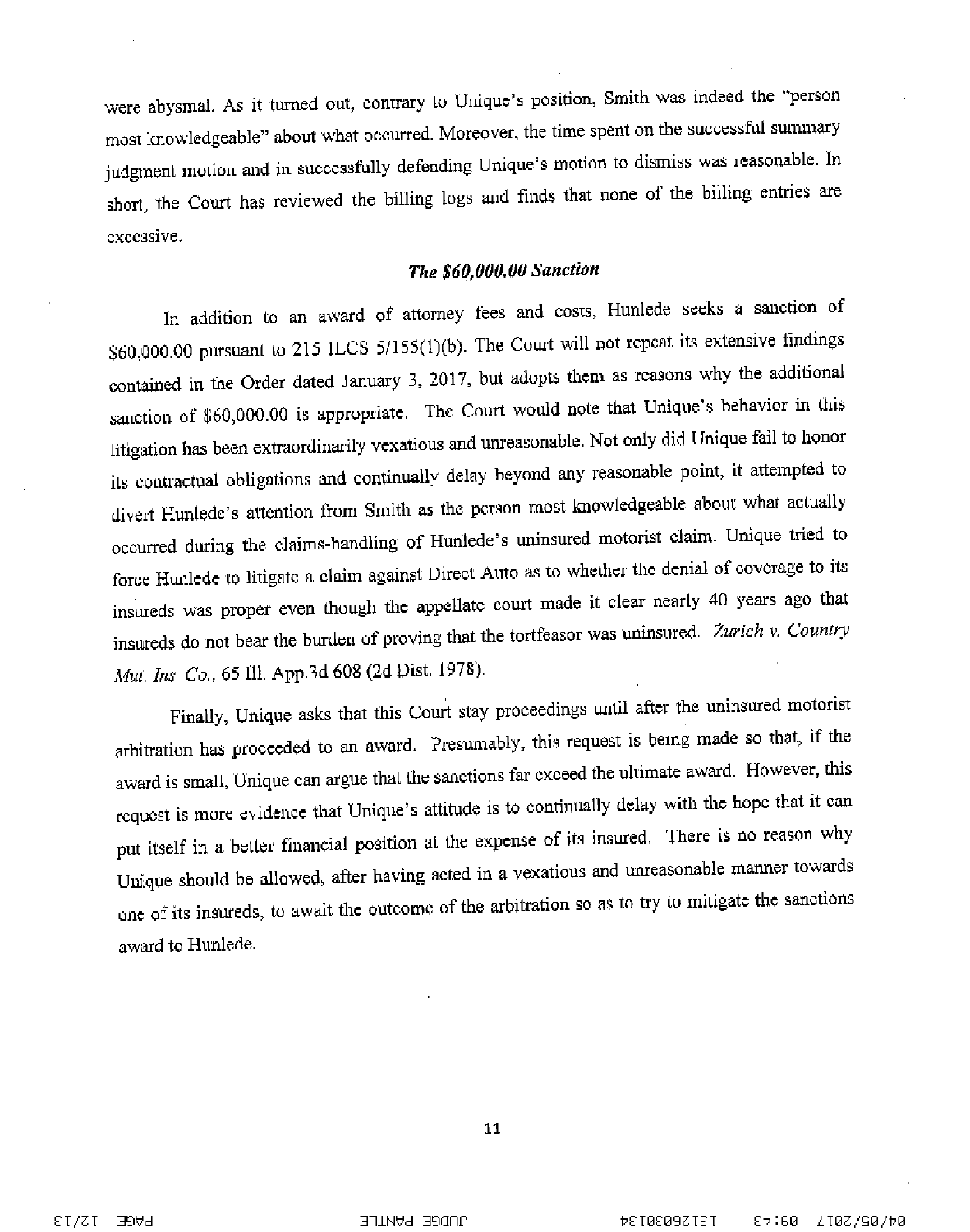were abysmal. As it turned out, contrary to Unique's position, Smith was indeed the "person most knowledgeable" about what occurred. Moreover, the time spent on the successful summary judgment motion and in successfully defending Unique's motion to dismiss was reasonable. In short, the Court has reviewed the billing logs and finds that none of the billing entries are excessive.

## The \$60,000.00 Sanction

In addition to an award of attorney fees and costs, Hunlede seeks a sanction of \$60,000.00 pursuant to 215 ILCS 5/155(1)(b). The Court will not repeat its extensive findings contained in the Order dated January 3, 2017, but adopts them as reasons why the additional sanction of \$60,000.00 is appropriate. The Court would note that Unique's behavior in this litigation has been extraordinarily vexatious and unreasonable. Not only did Unique fail to honor its contractual obligations and continually delay beyond any reasonable point, it attempted to divert Hunlede's attention from Smith as the person most knowledgeable about what actually occurred during the claims-handling of Hunlede's uninsured motorist claim. Unique tried to force Hunlede to litigate a claim against Direct Auto as to whether the denial of coverage to its insureds was proper even though the appellate court made it clear nearly 40 years ago that insureds do not bear the burden of proving that the tortfeasor was uninsured. Zurich v. Country Mut. Ins. Co., 65 Ill. App.3d 608 (2d Dist. 1978).

Finally, Unique asks that this Court stay proceedings until after the uninsured motorist arbitration has proceeded to an award. Presumably, this request is being made so that, if the award is small, Unique can argue that the sanctions far exceed the ultimate award. However, this request is more evidence that Unique's attitude is to continually delay with the hope that it can put itself in a better financial position at the expense of its insured. There is no reason why Unique should be allowed, after having acted in a vexatious and unreasonable manner towards one of its insureds, to await the outcome of the arbitration so as to try to mitigate the sanctions award to Hunlede.